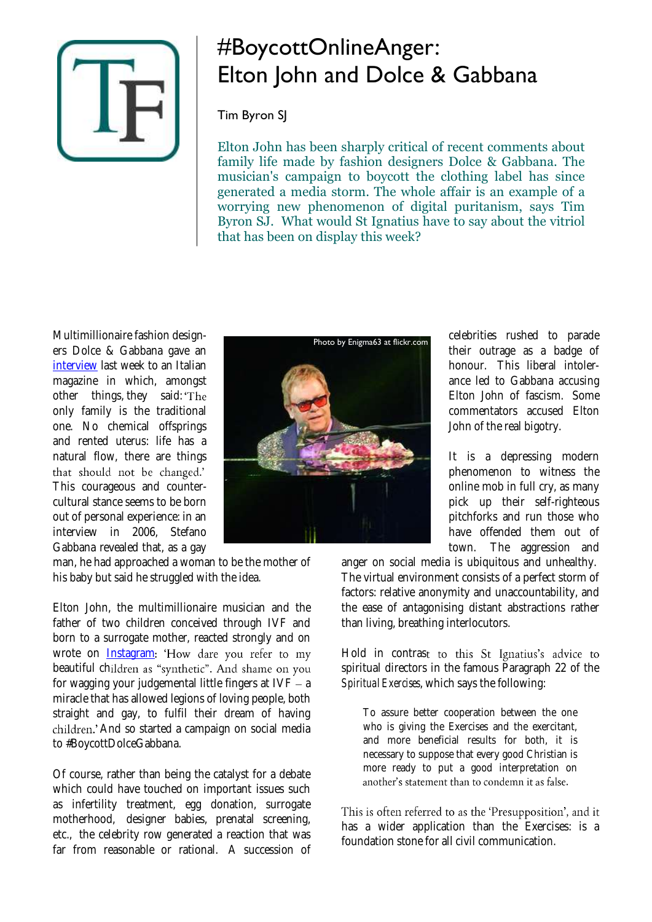

## #BoycottOnlineAnger: Elton John and Dolce & Gabbana

## Tim Byron SJ

Elton John has been sharply critical of recent comments about family life made by fashion designers Dolce & Gabbana. The musician's campaign to boycott the clothing label has since generated a media storm. The whole affair is an example of a worrying new phenomenon of digital puritanism, says Tim Byron SJ. What would St Ignatius have to say about the vitriol that has been on display this week?

Multimillionaire fashion designers Dolce & Gabbana gave an [interview](http://www.telegraph.co.uk/news/celebritynews/11473198/Sir-Elton-John-calls-for-Dolce-and-Gabbana-boycott-after-row-over-same-sex-families.html) last week to an Italian magazine in which, amongst other things, they said: 'The only family is the traditional one. No chemical offsprings and rented uterus: life has a natural flow, there are things that should not be changed.' This courageous and countercultural stance seems to be born out of personal experience: in an interview in 2006, Stefano Gabbana revealed that, as a gay

man, he had approached a woman to be the mother of his baby but said he struggled with the idea.

Elton John, the multimillionaire musician and the father of two children conceived through IVF and born to a surrogate mother, reacted strongly and on wrote on **[Instagram](https://instagram.com/p/0PJUURgGUI/?taken-by=eltonjohn)**: 'How dare you refer to my beautiful children as "synthetic". And shame on you for wagging your judgemental little fingers at  $IVF - a$ miracle that has allowed legions of loving people, both straight and gay, to fulfil their dream of having children.' And so started a campaign on social media to #BoycottDolceGabbana.

Of course, rather than being the catalyst for a debate which could have touched on important issues such as infertility treatment, egg donation, surrogate motherhood, designer babies, prenatal screening, etc., the celebrity row generated a reaction that was far from reasonable or rational. A succession of



celebrities rushed to parade their outrage as a badge of honour. This liberal intolerance led to Gabbana accusing Elton John of fascism. Some commentators accused Elton John of the real bigotry.

It is a depressing modern phenomenon to witness the online mob in full cry, as many pick up their self-righteous pitchforks and run those who have offended them out of town. The aggression and

anger on social media is ubiquitous and unhealthy. The virtual environment consists of a perfect storm of factors: relative anonymity and unaccountability, and the ease of antagonising distant abstractions rather than living, breathing interlocutors.

Hold in contrast to this St Ignatius's advice to spiritual directors in the famous Paragraph 22 of the *Spiritual Exercises*, which says the following:

To assure better cooperation between the one who is giving the Exercises and the exercitant, and more beneficial results for both, it is necessary to suppose that every good Christian is more ready to put a good interpretation on another's statement than to condemn it as false.

This is often referred to as the 'Presupposition', and it has a wider application than the Exercises: is a foundation stone for all civil communication.